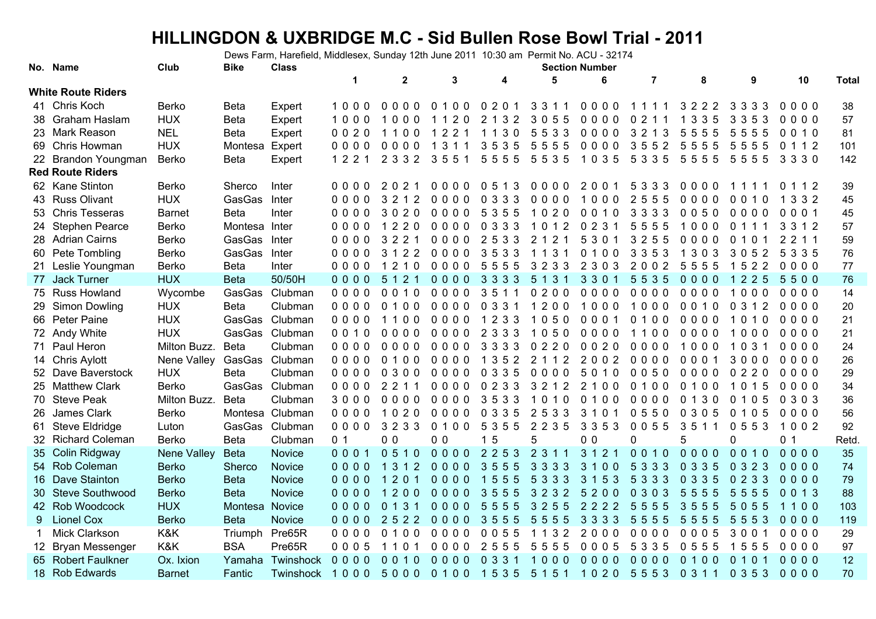## **HILLINGDON & UXBRIDGE M.C - Sid Bullen Rose Bowl Trial - 2011**

Dews Farm, Harefield, Middlesex, Sunday 12th June 2011 10:30 am Permit No. ACU - 32174

|    | No. Name                  | Club          | <b>Bike</b>    | <b>Class</b>    | <b>Section Number</b> |                         |                |                                   |         |                       |                |                      |          |                      |       |  |
|----|---------------------------|---------------|----------------|-----------------|-----------------------|-------------------------|----------------|-----------------------------------|---------|-----------------------|----------------|----------------------|----------|----------------------|-------|--|
|    |                           |               |                |                 | $\mathbf 1$           | $\mathbf{2}$            | 3              | 4                                 | 5       | 6                     | $\overline{7}$ | 8                    | 9        | 10                   | Total |  |
|    | <b>White Route Riders</b> |               |                |                 |                       |                         |                |                                   |         |                       |                |                      |          |                      |       |  |
|    | 41 Chris Koch             | Berko         | <b>Beta</b>    | Expert          | 1000                  | $0000$                  | $0, 1, 0, 0$   | 0 2 0 1                           | 3311    | 0000                  | 1111           | 3 2 2 2              | 3 3 3 3  | $0000$               | 38    |  |
|    | 38 Graham Haslam          | <b>HUX</b>    | <b>Beta</b>    | Expert          | 1000                  | 1000                    | 1120           | 2 1 3 2                           | 3055    | 0000                  | 0 2 1 1        | 1 3 3 5              | 3 3 5 3  | 0000                 | 57    |  |
|    | 23 Mark Reason            | <b>NEL</b>    | <b>Beta</b>    | Expert          | 0020                  | 1100                    | 1 2 2 1        | 1130                              | 5533    | 0000                  | 3 2 1 3        | 5555                 | 5555     | 0010                 | 81    |  |
| 69 | Chris Howman              | <b>HUX</b>    | Montesa        | Expert          | 0000                  | 0000                    | 311<br>-1      | 35<br>35                          | 5555    | 0000                  | 3552           | 5555                 | 5555     | 0 1 1 2              | 101   |  |
|    | 22 Brandon Youngman       | <b>Berko</b>  | <b>Beta</b>    | Expert          | 122                   | 2 3 3 2                 | 3551           | 5555                              | 5535    | 1035                  | 5 3 3 5        | 5555                 | 5555     | 3 3 3 0              | 142   |  |
|    | <b>Red Route Riders</b>   |               |                |                 |                       |                         |                |                                   |         |                       |                |                      |          |                      |       |  |
|    | 62 Kane Stinton           | Berko         | Sherco         | Inter           | 0000                  | 202                     | 0000           | 0.5<br>13                         | 0000    | 2001                  | 5 3 3 3        | 0000                 | 111      | 0112                 | 39    |  |
|    | 43 Russ Olivant           | <b>HUX</b>    | GasGas         | Inter           | 0000                  | 3 2 1 2                 | 0000           | 0 3 3 3                           | 0000    | 1000                  | 2555           | 0000                 | 0 0 1 0  | 3 3 2<br>$\mathbf 1$ | 45    |  |
|    | 53 Chris Tesseras         | <b>Barnet</b> | <b>Beta</b>    | Inter           | 0000                  | 3020                    | 0000           | 5 3 5 5                           | 1020    | 0010                  | 3 3 3 3        | 0050                 | 0000     | 0001                 | 45    |  |
|    | 24 Stephen Pearce         | Berko         | Montesa Inter  |                 | $0000$                | 1220                    | 0000           | 0 3 3 3                           | 1012    | 0231                  | 5555           | 1000                 | 0 1 1 1  | 3 3 1 2              | 57    |  |
|    | 28 Adrian Cairns          | Berko         | GasGas         | Inter           | 0000                  | 3 2 2 1                 | 0000           | 2533                              | 2 1 2 1 | 5 3 0 1               | 3255           | $0000$               | 0 1 0 1  | 2 2 1 1              | 59    |  |
|    | 60 Pete Tombling          | <b>Berko</b>  | GasGas         | Inter           | 0000                  | 3 1 2 2                 | 0000           | 3533                              | 1 1 3 1 | 0100                  | 3 3 5 3        | 1 3 0 3              | 3052     | 5 3 3 5              | 76    |  |
|    | 21 Leslie Youngman        | Berko         | <b>Beta</b>    | Inter           | 0000                  | 1 2 1 0                 | 0000           | 5555                              | 3 2 3 3 | 2 3 0 3               | 2002           | 5555                 | 1522     | 0000                 | 77    |  |
|    | 77 Jack Turner            | <b>HUX</b>    | <b>Beta</b>    | 50/50H          | 0000                  | 5 1 2 1                 | 0000           | 3 3 3 3                           | 5 1 3 1 | 3301                  | 5535           | 0000                 | 1225     | 5500                 | 76    |  |
|    | 75 Russ Howland           | Wycombe       | GasGas         | Clubman         | 0000                  | 0010                    | 0000           | 3511                              | 0200    | $0000$                | 0000           | 0000                 | 1000     | 0000                 | 14    |  |
|    | 29 Simon Dowling          | <b>HUX</b>    | <b>Beta</b>    | Clubman         | 0000                  | 0100                    | $0000$         | 0 3 3 1                           | 1200    | 1000                  | 1000           | 0010                 | 0 3 1 2  | 0000                 | 20    |  |
|    | 66 Peter Paine            | <b>HUX</b>    |                | GasGas Clubman  | 0000                  | 1100                    | 0000           | 1233                              | 1050    | 0001                  | 0100           | 0000                 | 1010     | 0000                 | 21    |  |
|    | 72 Andy White             | <b>HUX</b>    |                | GasGas Clubman  | 0010                  | $0000$                  | 0000           | 2 3 3 3                           | 1050    | $0000$                | 1100           | $0000$               | 1000     | 0000                 | 21    |  |
|    | 71 Paul Heron             | Milton Buzz.  | <b>Beta</b>    | Clubman         | $0000$                | 0000                    | 0000           | 3 3 3 3                           | 0220    | 0020                  | 0000           | 1000                 | 1 0 3 1  | 0000                 | 24    |  |
|    | 14 Chris Aylott           | Nene Valley   | GasGas         | Clubman         | 0000                  | 0100                    | 0000           | 1 3 5 2                           | 2 1 1 2 | 2002                  | 0000           | 0001                 | 3000     | 0000                 | 26    |  |
|    | 52 Dave Baverstock        | <b>HUX</b>    | <b>Beta</b>    | Clubman         | $0000$                | 0300                    | 0000           | 0 3 3 5                           | 0000    | 5010                  | 0050           | 0000                 | 0220     | 0000                 | 29    |  |
|    | 25 Matthew Clark          | Berko         | GasGas         | Clubman         | 0000                  | 2 2 1 1                 | 0000           | 0233                              | 3 2 1 2 | 2 1 0 0               | 0100           | 0100                 | 1015     | 0000                 | 34    |  |
|    | 70 Steve Peak             | Milton Buzz.  | <b>Beta</b>    | Clubman         | 3000                  | 0000                    | 0000           | 3533                              | 1010    | 0100                  | 0000           | 0130                 | 0 1 0 5  | 0 3 0 3              | 36    |  |
|    | 26 James Clark            | <b>Berko</b>  |                | Montesa Clubman | 0000                  | 1020                    | 0000           | 0 3 3 5                           | 2533    | 3 1 0 1               | 0550           | 0 3 0 5              | 0 1 0 5  | $0000$               | 56    |  |
|    | 61 Steve Eldridge         | Luton         | GasGas         | Clubman         | 0000                  | 3233                    | 0 1 0 0        | 5 3 5 5                           | 2 2 3 5 | 3 3 5 3               | 0055           | 3511                 | 0553     | 1002                 | 92    |  |
|    | 32 Richard Coleman        | <b>Berko</b>  | <b>Beta</b>    | Clubman         | 0 <sub>1</sub>        | 0 <sub>0</sub>          | 0 <sub>0</sub> | 15                                | 5       | 0 <sub>0</sub>        | 0              |                      | $\Omega$ | 0 <sub>1</sub>       | Retd  |  |
|    | 35 Colin Ridgway          | Nene Valley   | <b>Beta</b>    | Novice          | 0001                  | 0510                    | 0000           | 2253                              | 2 3 1 1 | 3 1 2 1               | 0010           | 0000                 | 0010     | 0000                 | 35    |  |
|    | 54 Rob Coleman            | <b>Berko</b>  | Sherco         | <b>Novice</b>   | 0000                  | 1 3 1 2                 | 0000           | 35<br>55                          | 3 3 3 3 | 3 <sup>2</sup><br>100 | 5 3 3 3        | 0 3 3 5              | 0 3 2 3  | 0000                 | 74    |  |
|    | 16 Dave Stainton          | <b>Berko</b>  | <b>Beta</b>    | <b>Novice</b>   | $0000$                | 2 0 1<br>$\overline{1}$ | $0000$         | $\mathbf{1}$<br>$5^{\circ}$<br>55 | 5 3 3 3 | 3<br>153              | 5 3 3 3        | 0 <sub>3</sub><br>35 | 0233     | $0000$               | 79    |  |
|    | 30 Steve Southwood        | <b>Berko</b>  | <b>Beta</b>    | Novice          | 0000                  | 200<br>$\overline{1}$   | 0000           | 35<br>55                          | 3232    | $5^{\circ}$<br>200    | 0 3 0 3        | 55<br>55             | 5555     | 0013                 | 88    |  |
|    | 42 Rob Woodcock           | <b>HUX</b>    | Montesa Novice |                 | 0000                  | 0 1 3 1                 | 0000           | 5555                              | 3255    | 2222                  | 5555           | 3555                 | 5055     | 1100                 | 103   |  |
| 9  | <b>Lionel Cox</b>         | <b>Berko</b>  | <b>Beta</b>    | <b>Novice</b>   | 0000                  | 2522                    | 0000           | 3555                              | 5555    | 3 3 3 3               | 5555           | 5555                 | 5553     | 0000                 | 119   |  |
| 1  | Mick Clarkson             | K&K           | Triumph        | Pre65R          | 0000                  | 0100                    | 0000           | 0055                              | 1 1 3 2 | 2000                  | 0000           | 0005                 | 3001     | 0000                 | 29    |  |
|    | 12 Bryan Messenger        | K&K           | <b>BSA</b>     | Pre65R          | 0005                  | 1101                    | $0000$         | 2555                              | 5555    | 0005                  | 5 3 3 5        | 0555                 | 1555     | $0000$               | 97    |  |
|    | 65 Robert Faulkner        | Ox. Ixion     | Yamaha         | Twinshock       | 0000                  | $0010$                  | $0000$         | 0 3 3 1                           | 1000    | 0000                  | $0000$         | 0100                 | 0 1 0 1  | 0000                 | 12    |  |
|    | 18 Rob Edwards            | <b>Barnet</b> | Fantic         | Twinshock       | 1000                  | 5000                    | 0100           | 1535                              | 5 1 5 1 | 1020 5553 0311        |                |                      | 0 3 5 3  | 0000                 | 70    |  |
|    |                           |               |                |                 |                       |                         |                |                                   |         |                       |                |                      |          |                      |       |  |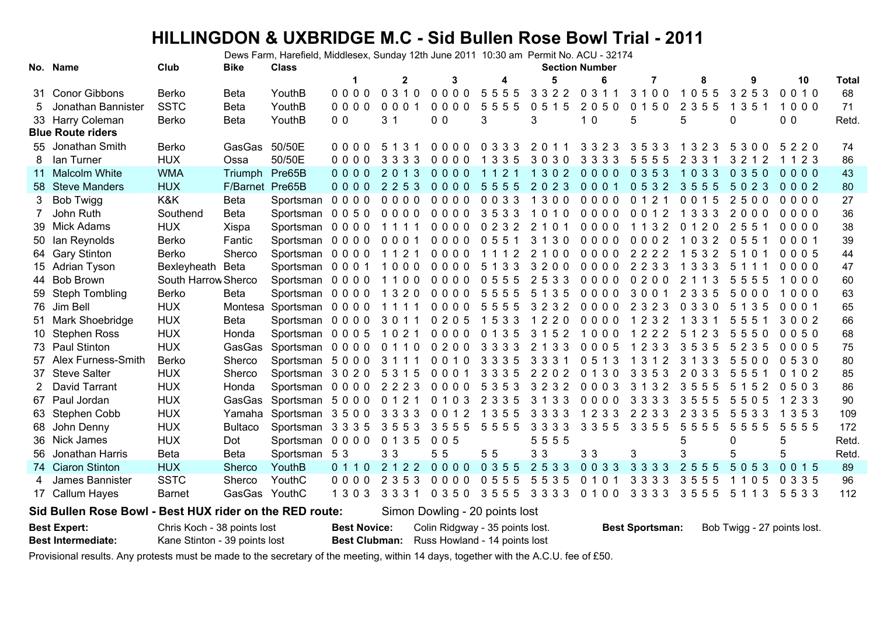## **HILLINGDON & UXBRIDGE M.C - Sid Bullen Rose Bowl Trial - 2011**

Dews Farm, Harefield, Middlesex, Sunday 12th June 2011 10:30 am Permit No. ACU - 32174

|    | No. Name                 | Club                | <b>Bike</b>     | <b>Class</b>              |                |                |                |                      |           | <b>Section Number</b>      |                      |                       |                       |                |              |
|----|--------------------------|---------------------|-----------------|---------------------------|----------------|----------------|----------------|----------------------|-----------|----------------------------|----------------------|-----------------------|-----------------------|----------------|--------------|
|    |                          |                     |                 |                           |                | $\mathbf{2}$   | 3              | 4                    | 5         | 6                          | 7                    | 8                     | 9                     | 10             | <b>Total</b> |
|    | 31 Conor Gibbons         | <b>Berko</b>        | Beta            | YouthB                    | $0000$         | 0310           | 0000           | 5555                 | 3 3 2 2   | 0 3 1 1                    | 3100                 | 1055                  | 3253                  | 0010           | 68           |
| 5. | Jonathan Bannister       | <b>SSTC</b>         | <b>Beta</b>     | YouthB                    | $0000$         | 0001           | 0000           | 5555                 | 0515      | 2050                       | 0150                 | 2 3 5 5               | 1 3 5 1               | 1000           | 71           |
|    | 33 Harry Coleman         | <b>Berko</b>        | <b>Beta</b>     | YouthB                    | 0 <sub>0</sub> | 3 <sub>1</sub> | 0 <sub>0</sub> | 3                    | 3         | 10                         | 5                    | 5                     | 0                     | 0 <sub>0</sub> | Retd.        |
|    | <b>Blue Route riders</b> |                     |                 |                           |                |                |                |                      |           |                            |                      |                       |                       |                |              |
|    | 55 Jonathan Smith        | <b>Berko</b>        | GasGas          | 50/50E                    | $0000$         | 5 1 3 1        | $0000$         | 0 3 3 3              | 2011      | 3 3 2 3                    | 3533                 | 1 3 2 3               | 5300                  | 5220           | 74           |
| 8  | lan Turner               | <b>HUX</b>          | Ossa            | 50/50E                    | $0000$         | 3 3 3 3        | $0000$         | 1 3 3 5              | 3030      | 3 3 3 3                    | 5555                 | 2 3 3 1               | 3 2 1 2               | 1 1 2 3        | 86           |
|    | 11 Malcolm White         | <b>WMA</b>          | Triumph         | Pre65B                    | $0000$         | 2013           | $0000$         | 2 <sub>1</sub><br>11 | 302<br>-1 | $0000$                     | 0353                 | 1 0 3 3               | 0350                  | $0000$         | 43           |
|    | 58 Steve Manders         | <b>HUX</b>          | F/Barnet Pre65B |                           | $0000$         | 2 2 5 3        | $0000$         | 5555                 | 2023      | 0001                       | 0532                 | 3555                  | 5023                  | $0002$         | 80           |
| 3  | <b>Bob Twigg</b>         | K&K                 | <b>Beta</b>     | Sportsman 0000            |                | $0000$         | $0000$         | 0033                 | 1300      | 0000                       | 0121                 | 0015                  | 2500                  | 0000           | 27           |
|    | John Ruth                | Southend            | <b>Beta</b>     | Sportsman 0 0 5 0         |                | $0000$         | $0000$         | 3533                 | 1010      | $0000$                     | 0 0 1 2              | 3 3 3<br>$\mathbf{1}$ | 2000                  | $0000$         | 36           |
|    | 39 Mick Adams            | <b>HUX</b>          | Xispa           | Sportsman 0000 1111       |                |                | 0000 0232      |                      | 2 1 0 1   | 0000                       | 1 1 3 2              | 0120                  | $\overline{2}$<br>551 | 0000           | 38           |
| 50 | lan Reynolds             | Berko               | Fantic          | Sportsman 0000            |                | 0001           | $0000$         | 0551                 | 3 1 3 0   | 0000                       | 0002                 | 1032                  | 0551                  | 0001           | 39           |
|    | 64 Gary Stinton          | <b>Berko</b>        | Sherco          | Sportsman 0000            |                | 1 1 2 1        | 0000           | 1112                 | 2100      | 0000                       | 2222                 | 5 3 2                 | 5<br>10               | 0005           | 44           |
|    | 15 Adrian Tyson          | Bexleyheath         | <b>Beta</b>     | Sportsman 0 0 0 1         |                | 1000           | $0000$         | 5 1 3 3              | 3200      | $0000$                     | 2 2 3 3              | 1 3 3 3               | 5<br>1 1              | $0000$         | 47           |
|    | 44 Bob Brown             | South Harrow Sherco |                 | Sportsman 0000            |                | 1100 0000      |                | 0555                 | 2533      | $0000$                     | 0200                 | 2<br>1 1 3            | 5555                  | 1000           | 60           |
|    | 59 Steph Tombling        | Berko               | Beta            | Sportsman 0000            |                | 1 3 2 0        | $0000$         | 5555                 | 5 1 3 5   | 0000                       | 3001                 | 2 3 3 5               | 5000                  | 1000           | 63           |
|    | 76 Jim Bell              | <b>HUX</b>          | Montesa         | Sportsman 0000            |                | 1111           | $0000$         | 5555                 | 3232      | $0000$                     | 2 3 2 3              | 0 3 3 0               | 5 1 3 5               | 0001           | 65           |
|    | 51 Mark Shoebridge       | <b>HUX</b>          | <b>Beta</b>     | Sportsman 0000 3011       |                |                | 0205           | 1 5 3 3              | 1220      | $0000$                     | 2 3 2<br>$\mathbf 1$ | 3 3 1<br>$\mathbf 1$  | 5<br>551              | 3002           | 66           |
|    | 10 Stephen Ross          | <b>HUX</b>          | Honda           | Sportsman 0 0 0 5 1 0 2 1 |                |                | 0000 0135      |                      | 3 1 5 2   | 1000                       | 222<br>-1            | 5<br>2 3              | 5<br>550              | 0050           | 68           |
|    | 73 Paul Stinton          | <b>HUX</b>          | GasGas          | Sportsman 0000            |                | 0110           | 0200           | 3 3 3 3              | 2 1 3 3   | 0005                       | 2 3 3                | 3535                  | 5235                  | 0005           | 75           |
|    | 57 Alex Furness-Smith    | <b>Berko</b>        | Sherco          | Sportsman 5000            |                | 3 1 1 1        | 0010           | 3 3 3 5              | 3 3 3 1   | 0513                       | 3<br>$\overline{2}$  | 3<br>3 <sub>3</sub>   | 5500                  | 0530           | 80           |
|    | 37 Steve Salter          | <b>HUX</b>          | Sherco          | Sportsman 3 0 2 0         |                | 5 3 1 5        | 0001           | 3 3 3 5              | 2202      | 0 1 3 0                    | 3 3 5 3              | 2033                  | 5<br>55               | 0 1 0 2        | 85           |
|    | David Tarrant            | <b>HUX</b>          | Honda           | Sportsman 0000            |                | 2 2 2 3        | 0000           | 5 3 5 3              | 3232      | 0003                       | 3 1 3 2              | 3555                  | 5<br>2<br>15          | 0503           | 86           |
|    | 67 Paul Jordan           | <b>HUX</b>          | GasGas          | Sportsman 5000            |                | 0 1 2 1        | 0 1 0 3        | 2 3 3 5              | 3 1 3 3   | 0000                       | 3 3 3 3              | 3555                  | 5505                  | 1233           | 90           |
|    | 63 Stephen Cobb          | <b>HUX</b>          | Yamaha          | Sportsman 3500            |                | 3 3 3 3        | 0012           | 1 3 5 5              | 3 3 3 3   | 1 2 3 3                    | 2233                 | 2 3 3 5               | 5533                  | 1 3 5 3        | 109          |
|    | 68 John Denny            | <b>HUX</b>          | <b>Bultaco</b>  | Sportsman 3335            |                | 3553           | 3555           | 5555                 | 3 3 3 3   | 3 3 5 5                    | 3 3 5 5              | 5555                  | 5555                  | 5555           | 172          |
|    | 36 Nick James            | <b>HUX</b>          | Dot             | Sportsman 0000            |                | 0 1 3 5        | 005            |                      | 5555      |                            |                      | 5                     | 0                     | 5              | Retd.        |
|    | 56 Jonathan Harris       | <b>Beta</b>         | Beta            | Sportsman 5 3             |                | 3 <sub>3</sub> | 55             | 55                   | 33        | 3 <sub>3</sub>             | 3                    | 3                     | 5                     | 5              | Retd.        |
|    | 74 Ciaron Stinton        | <b>HUX</b>          | Sherco          | YouthB                    | 0 1 1 0        | 2 1 2 2        | $0000$         | 0 3 5 5              | 2533      | 0033                       | 3 3 3 3              | 2 <sub>5</sub><br>55  | 5053                  | 0015           | 89           |
| 4  | James Bannister          | <b>SSTC</b>         | Sherco          | YouthC                    | $0000$         | 2 3 5 3        | $0000$         | 0555                 | 5 5 3 5   | 0 <sub>1</sub><br>$\Omega$ | 3<br>333             | 3<br>55<br>5          | 0.5<br>1 1            | 0 3 3 5        | 96           |
|    | 17 Callum Hayes          | <b>Barnet</b>       | GasGas YouthC   |                           | 1 3 0 3        | 3 3 3 1        | 0 3 5 0        | 3555                 | 3 3 3 3   | 0100                       | 3 3 3 3              | 3555                  | 5 1 1 3               | 5533           | 112          |

**Sid Bullen Rose Bowl - Best HUX rider on the RED route:**

Simon Dowling - 20 points lost

| <b>Best Expert:</b>       | Chris Koch - 38 points lost   | <b>Best Novice:</b> Colin Ridgway - 35 points lost. | <b>Best Sportsman:</b> Bob Twigg - 27 points lost. |
|---------------------------|-------------------------------|-----------------------------------------------------|----------------------------------------------------|
| <b>Best Intermediate:</b> | Kane Stinton - 39 points lost | <b>Best Clubman:</b> Russ Howland - 14 points lost  |                                                    |

Provisional results. Any protests must be made to the secretary of the meeting, within 14 days, together with the A.C.U. fee of £50.